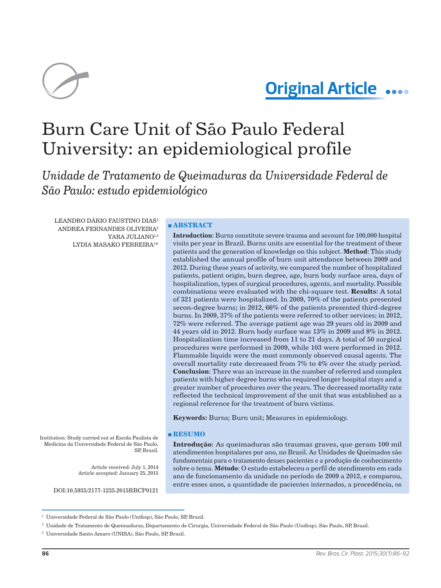

# **Original Article**

# Burn Care Unit of São Paulo Federal University: an epidemiological profile

*Unidade de Tratamento de Queimaduras da Universidade Federal de São Paulo: estudo epidemiológico*

LEANDRO DÁRIO FAUSTINO DIAS1 ANDREA FERNANDES OLIVEIRA2 YARA JULIANO<sup>1,3</sup> LYDIA MASAKO FERREIRA1 \*

# **■ ABSTRACT**

**Introduction**: Burns constitute severe trauma and account for 100,000 hospital visits per year in Brazil. Burns units are essential for the treatment of these patients and the generation of knowledge on this subject. **Method**: This study established the annual profile of burn unit attendance between 2009 and 2012. During these years of activity, we compared the number of hospitalized patients, patient origin, burn degree, age, burn body surface area, days of hospitalization, types of surgical procedures, agents, and mortality. Possible combinations were evaluated with the chi-square test. **Results**: A total of 321 patients were hospitalized. In 2009, 70% of the patients presented secon-degree burns; in 2012, 66% of the patients presented third-degree burns. In 2009, 37% of the patients were referred to other services; in 2012, 72% were referred. The average patient age was 29 years old in 2009 and 44 years old in 2012. Burn body surface was 13% in 2009 and 8% in 2012. Hospitalization time increased from 11 to 21 days. A total of 50 surgical procedures were performed in 2009, while 103 were performed in 2012. Flammable liquids were the most commonly observed causal agents. The overall mortality rate decreased from 7% to 4% over the study period. **Conclusion**: There was an increase in the number of referred and complex patients with higher degree burns who required longer hospital stays and a greater number of procedures over the years. The decreased mortality rate reflected the technical improvement of the unit that was established as a regional reference for the treatment of burn victims.

**Keywords:** Burns; Burn unit; Measures in epidemiology.

## **■ RESUMO**

**Introdução**: As queimaduras são traumas graves, que geram 100 mil atendimentos hospitalares por ano, no Brasil. As Unidades de Queimados são fundamentais para o tratamento desses pacientes e a produção de conhecimento sobre o tema. **Método**: O estudo estabeleceu o perfil de atendimento em cada ano de funcionamento da unidade no período de 2009 a 2012, e comparou, entre esses anos, a quantidade de pacientes internados, a procedência, os

Institution: Study carried out at Escola Paulista de Medicina da Universidade Federal de São Paulo, SP Brazil.

> Article received: July 1, 2014 Article accepted: January 25, 2015

DOI:10.5935/2177-1235.2015RBCP0121

<sup>1</sup> Universidade Federal de São Paulo (Unifesp), São Paulo, SP, Brazil.

<sup>2</sup> Unidade de Tratamento de Queimaduras, Departamento de Cirurgia, Universidade Federal de São Paulo (Unifesp), São Paulo, SP, Brazil.

<sup>3</sup> Universidade Santo Amaro (UNISA), São Paulo, SP, Brazil.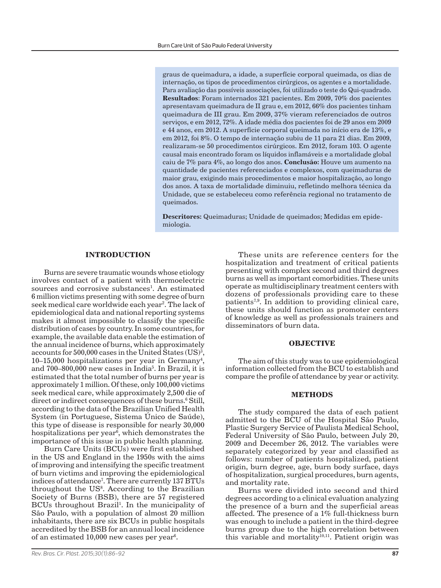graus de queimadura, a idade, a superfície corporal queimada, os dias de internação, os tipos de procedimentos cirúrgicos, os agentes e a mortalidade. Para avaliação das possíveis associações, foi utilizado o teste do Qui-quadrado. **Resultados**: Foram internados 321 pacientes. Em 2009, 70% dos pacientes apresentavam queimadura de II grau e, em 2012, 66% dos pacientes tinham queimadura de III grau. Em 2009, 37% vieram referenciados de outros serviços, e em 2012, 72%. A idade média dos pacientes foi de 29 anos em 2009 e 44 anos, em 2012. A superfície corporal queimada no início era de 13%, e em 2012, foi 8%. O tempo de internação subiu de 11 para 21 dias. Em 2009, realizaram-se 50 procedimentos cirúrgicos. Em 2012, foram 103. O agente causal mais encontrado foram os líquidos inflamáveis e a mortalidade global caiu de 7% para 4%, ao longo dos anos. **Conclusão:** Houve um aumento na quantidade de pacientes referenciados e complexos, com queimaduras de maior grau, exigindo mais procedimentos e maior hospitalização, ao longo dos anos. A taxa de mortalidade diminuiu, refletindo melhora técnica da Unidade, que se estabeleceu como referência regional no tratamento de queimados.

**Descritores:** Queimaduras; Unidade de queimados; Medidas em epidemiologia.

# **INTRODUCTION**

Burns are severe traumatic wounds whose etiology involves contact of a patient with thermoelectric sources and corrosive substances<sup>1</sup>. An estimated 6 million victims presenting with some degree of burn seek medical care worldwide each year<sup>2</sup>. The lack of epidemiological data and national reporting systems makes it almost impossible to classify the specific distribution of cases by country. In some countries, for example, the available data enable the estimation of the annual incidence of burns, which approximately accounts for  $500,000$  cases in the United States (US)<sup>3</sup>,  $10-15,000$  hospitalizations per year in Germany<sup>4</sup>, and 700–800,000 new cases in India<sup>5</sup>. In Brazil, it is estimated that the total number of burns per year is approximately 1 million. Of these, only 100,000 victims seek medical care, while approximately 2,500 die of direct or indirect consequences of these burns.<sup>6</sup> Still, according to the data of the Brazilian Unified Health System (in Portuguese, Sistema Único de Saúde), this type of disease is responsible for nearly 30,000 hospitalizations per year<sup>6</sup>, which demonstrates the importance of this issue in public health planning.

Burn Care Units (BCUs) were first established in the US and England in the 1950s with the aims of improving and intensifying the specific treatment of burn victims and improving the epidemiological indices of attendance7 . There are currently 137 BTUs throughout the US<sup>8</sup>. According to the Brazilian Society of Burns (BSB), there are 57 registered BCUs throughout Brazil<sup>1</sup>. In the municipality of São Paulo, with a population of almost 20 million inhabitants, there are six BCUs in public hospitals accredited by the BSB for an annual local incidence of an estimated  $10,000$  new cases per year $^6$ .

These units are reference centers for the hospitalization and treatment of critical patients presenting with complex second and third degrees burns as well as important comorbidities. These units operate as multidisciplinary treatment centers with dozens of professionals providing care to these patients<sup> $7,9$ </sup>. In addition to providing clinical care, these units should function as promoter centers of knowledge as well as professionals trainers and disseminators of burn data.

# **OBJECTIVE**

The aim of this study was to use epidemiological information collected from the BCU to establish and compare the profile of attendance by year or activity.

#### **METHODS**

The study compared the data of each patient admitted to the BCU of the Hospital São Paulo, Plastic Surgery Service of Paulista Medical School, Federal University of São Paulo, between July 20, 2009 and December 26, 2012. The variables were separately categorized by year and classified as follows: number of patients hospitalized, patient origin, burn degree, age, burn body surface, days of hospitalization, surgical procedures, burn agents, and mortality rate.

Burns were divided into second and third degrees according to a clinical evaluation analyzing the presence of a burn and the superficial areas affected. The presence of a 1% full-thickness burn was enough to include a patient in the third-degree burns group due to the high correlation between this variable and mortality<sup>10,11</sup>. Patient origin was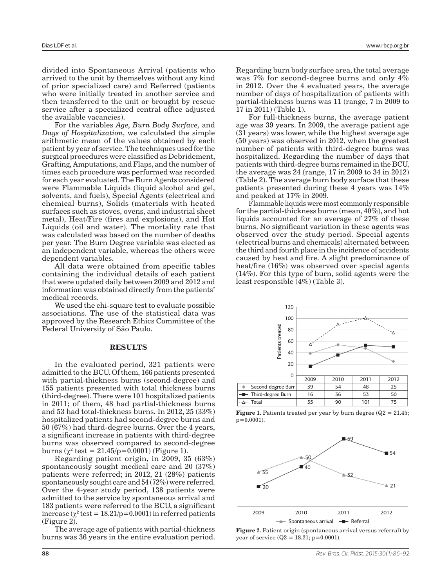divided into Spontaneous Arrival (patients who arrived to the unit by themselves without any kind of prior specialized care) and Referred (patients who were initially treated in another service and then transferred to the unit or brought by rescue service after a specialized central office adjusted the available vacancies).

For the variables *Age, Burn Body Surface,* and *Days of Hospitalization*, we calculated the simple arithmetic mean of the values obtained by each patient by year of service. The techniques used for the surgical procedures were classified as Debridement, Grafting, Amputations, and Flaps, and the number of times each procedure was performed was recorded for each year evaluated. The Burn Agents considered were Flammable Liquids (liquid alcohol and gel, solvents, and fuels), Special Agents (electrical and chemical burns), Solids (materials with heated surfaces such as stoves, ovens, and industrial sheet metal), Heat/Fire (fires and explosions), and Hot Liquids (oil and water). The mortality rate that was calculated was based on the number of deaths per year. The Burn Degree variable was elected as an independent variable, whereas the others were dependent variables.

All data were obtained from specific tables containing the individual details of each patient that were updated daily between 2009 and 2012 and information was obtained directly from the patients' medical records.

We used the chi-square test to evaluate possible associations. The use of the statistical data was approved by the Research Ethics Committee of the Federal University of São Paulo.

#### **RESULTS**

In the evaluated period, 321 patients were admitted to the BCU. Of them, 166 patients presented with partial-thickness burns (second-degree) and 155 patients presented with total thickness burns (third-degree). There were 101 hospitalized patients in 2011; of them, 48 had partial-thickness burns and 53 had total-thickness burns. In 2012, 25 (33%) hospitalized patients had second-degree burns and 50 (67%) had third-degree burns. Over the 4 years, a significant increase in patients with third-degree burns was observed compared to second-degree burns ( $\chi^2$  test = 21.45/p=0.0001) (Figure 1).

Regarding patient origin, in 2009, 35 (63%) spontaneously sought medical care and 20 (37%) patients were referred; in 2012, 21 (28%) patients spontaneously sought care and 54 (72%) were referred. Over the 4-year study period, 138 patients were admitted to the service by spontaneous arrival and 183 patients were referred to the BCU, a significant increase ( $\chi^2$  test = 18.21/p=0.0001) in referred patients (Figure 2).

The average age of patients with partial-thickness burns was 36 years in the entire evaluation period. Regarding burn body surface area, the total average was 7% for second-degree burns and only 4% in 2012. Over the 4 evaluated years, the average number of days of hospitalization of patients with partial-thickness burns was 11 (range, 7 in 2009 to 17 in 2011) (Table 1).

For full-thickness burns, the average patient age was 39 years. In 2009, the average patient age (31 years) was lower, while the highest average age (50 years) was observed in 2012, when the greatest number of patients with third-degree burns was hospitalized. Regarding the number of days that patients with third-degree burns remained in the BCU, the average was 24 (range, 17 in 2009 to 34 in 2012) (Table 2). The average burn body surface that these patients presented during these 4 years was 14% and peaked at 17% in 2009.

Flammable liquids were most commonly responsible for the partial-thickness burns (mean, 40%), and hot liquids accounted for an average of 27% of these burns. No significant variation in these agents was observed over the study period. Special agents (electrical burns and chemicals) alternated between the third and fourth place in the incidence of accidents caused by heat and fire. A slight predominance of heat/fire (16%) was observed over special agents (14%). For this type of burn, solid agents were the least responsible (4%) (Table 3).



**Figure 1.** Patients treated per year by burn degree ( $Q2 = 21.45$ ;  $p=0.0001$ ).



**Figure 2.** Patient origin (spontaneous arrival versus referral) by year of service ( $Q2 = 18.21$ ; p=0.0001).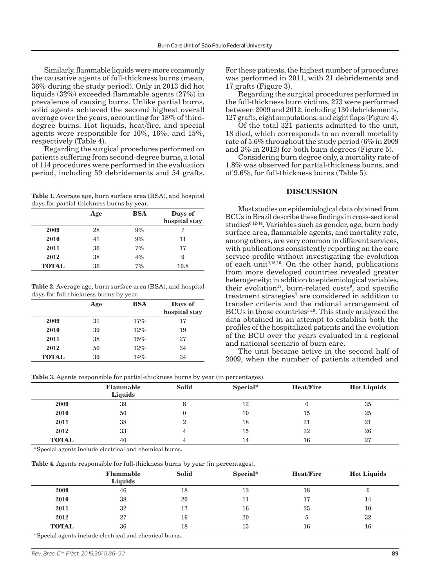Similarly, flammable liquids were more commonly the causative agents of full-thickness burns (mean, 36% during the study period). Only in 2013 did hot liquids (32%) exceeded flammable agents (27%) in prevalence of causing burns. Unlike partial burns, solid agents achieved the second highest overall average over the years, accounting for 18% of thirddegree burns. Hot liquids, heat/fire, and special agents were responsible for 16%, 16%, and 15%, respectively (Table 4).

Regarding the surgical procedures performed on patients suffering from second-degree burns, a total of 114 procedures were performed in the evaluation period, including 59 debridements and 54 grafts.

**Table 1.** Average age, burn surface area (BSA), and hospital days for partial-thickness burns by year.

|              | Age | <b>BSA</b> | Days of<br>hospital stay |
|--------------|-----|------------|--------------------------|
| 2009         | 28  | $9\%$      |                          |
| 2010         | 41  | $9\%$      | 11                       |
| 2011         | 36  | 7%         | 17                       |
| 2012         | 38  | 4%         | 9                        |
| <b>TOTAL</b> | 36  | 7%         | 10.8                     |

**Table 2.** Average age, burn surface area (BSA), and hospital days for full-thickness burns by year.

|              | Age | <b>BSA</b> | Days of<br>hospital stay |
|--------------|-----|------------|--------------------------|
| 2009         | 31  | 17%        | 17                       |
| 2010         | 39  | 12%        | 19                       |
| 2011         | 38  | 15%        | 27                       |
| 2012         | 50  | 12%        | 34                       |
| <b>TOTAL</b> | 39  | 14%        | 24                       |

For these patients, the highest number of procedures was performed in 2011, with 21 debridements and 17 grafts (Figure 3).

Regarding the surgical procedures performed in the full-thickness burn victims, 273 were performed between 2009 and 2012, including 130 debridements, 127 grafts, eight amputations, and eight flaps (Figure 4).

Of the total 321 patients admitted to the unit, 18 died, which corresponds to an overall mortality rate of 5.6% throughout the study period (6% in 2009 and 3% in 2012) for both burn degrees (Figure 5).

Considering burn degree only, a mortality rate of 1.8% was observed for partial-thickness burns, and of 9.6%, for full-thickness burns (Table 5).

## **DISCUSSION**

Most studies on epidemiological data obtained from BCUs in Brazil describe these findings in cross-sectional studies $6,12-14$ . Variables such as gender, age, burn body surface area, flammable agents, and mortality rate, among others, are very common in different services, with publications consistently reporting on the care service profile without investigating the evolution of each unit<sup> $2,15,16$ </sup>. On the other hand, publications from more developed countries revealed greater heterogeneity; in addition to epidemiological variables, their evolution<sup>17</sup>, burn-related costs<sup>9</sup>, and specific treatment strategies<sup>7</sup> are considered in addition to transfer criteria and the rational arrangement of BCUs in those countries<sup>3,18</sup>. This study analyzed the data obtained in an attempt to establish both the profiles of the hospitalized patients and the evolution of the BCU over the years evaluated in a regional and national scenario of burn care.

The unit became active in the second half of 2009, when the number of patients attended and

**Table 3.** Agents responsible for partial-thickness burns by year (in percentages).

| $\overline{\phantom{a}}$ |                                    | . .<br>$\sim$ |          |                  |                    |  |
|--------------------------|------------------------------------|---------------|----------|------------------|--------------------|--|
|                          | <b>Flammable</b><br><b>Liquids</b> | <b>Solid</b>  | Special* | <b>Heat/Fire</b> | <b>Hot Liquids</b> |  |
| 2009                     | 39                                 |               | 12       |                  | 35                 |  |
| 2010                     | 50                                 |               | 10       | 15               | 25                 |  |
| 2011                     | 38                                 |               | 18       | 21               | 21                 |  |
| 2012                     | 33                                 |               | 15       | 22               | 26                 |  |
| <b>TOTAL</b>             | 40                                 |               | 14       | 16               | 27                 |  |

\*Special agents include electrical and chemical burns.

**Table 4.** Agents responsible for full-thickness burns by year (in percentages).

|              | <b>Flammable</b><br><b>Liquids</b> | <b>Solid</b> | Special* | <b>Heat/Fire</b> | <b>Hot Liquids</b> |
|--------------|------------------------------------|--------------|----------|------------------|--------------------|
| 2009         | 46                                 | 18           | 12       | 18               | b                  |
| 2010         | 38                                 | 20           | 11       | 17               | 14                 |
| 2011         | 32                                 | 17           | 16       | 25               | 10                 |
| 2012         | 27                                 | 16           | 20       | 5.               | 32                 |
| <b>TOTAL</b> | 36                                 | 18           | 15       | 16               | 16                 |

\*Special agents include electrical and chemical burns.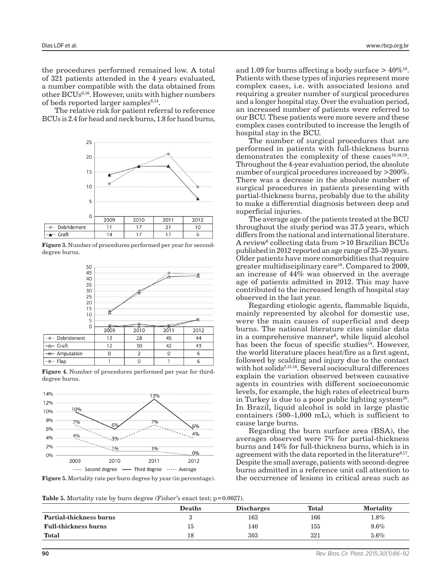the procedures performed remained low. A total of 321 patients attended in the 4 years evaluated, a number compatible with the data obtained from other BCUs6,16. However, units with higher numbers of beds reported larger samples<sup>6,14</sup>.

The relative risk for patient referral to reference BCUs is 2.4 for head and neck burns, 1.8 for hand burns,



**Figure 3.** Number of procedures performed per year for seconddegree burns.



**Figure 4.** Number of procedures performed per year for thirddegree burns.



**Figure 5.** Mortality rate per burn degree by year (in percentage).

and 1.09 for burns affecting a body surface  $> 40\%$ <sup>18</sup>. Patients with these types of injuries represent more complex cases, i.e. with associated lesions and requiring a greater number of surgical procedures and a longer hospital stay. Over the evaluation period, an increased number of patients were referred to our BCU. These patients were more severe and these complex cases contributed to increase the length of hospital stay in the BCU.

The number of surgical procedures that are performed in patients with full-thickness burns demonstrates the complexity of these cases $16,18,19$ . Throughout the 4-year evaluation period, the absolute number of surgical procedures increased by >200%. There was a decrease in the absolute number of surgical procedures in patients presenting with partial-thickness burns, probably due to the ability to make a differential diagnosis between deep and superficial injuries.

The average age of the patients treated at the BCU throughout the study period was 37.5 years, which differs from the national and international literature. A review<sup>6</sup> collecting data from >10 Brazilian BCUs published in 2012 reported an age range of 25–30 years. Older patients have more comorbidities that require greater multidisciplinary care<sup>18</sup>. Compared to  $2009$ , an increase of  $44\%$  was observed in the average age of patients admitted in 2012. This may have contributed to the increased length of hospital stay observed in the last year.

Regarding etiologic agents, flammable liquids, mainly represented by alcohol for domestic use, were the main causes of superficial and deep burns. The national literature cites similar data in a comprehensive manner<sup>6</sup>, while liquid alcohol has been the focus of specific studies<sup> $\bar{1}$ </sup>. However, the world literature places heat/fire as a first agent, followed by scalding and injury due to the contact with hot solids<sup>2,15,16</sup>. Several sociocultural differences explain the variation observed between causative agents in countries with different socioeconomic levels, for example, the high rates of electrical burn in Turkey is due to a poor public lighting system<sup>20</sup>. In Brazil, liquid alcohol is sold in large plastic containers (500–1,000 mL), which is sufficient to cause large burns.

Regarding the burn surface area (BSA), the averages observed were 7% for partial-thickness burns and 14% for full-thickness burns, which is in agreement with the data reported in the literature<sup>6,17</sup>. Despite the small average, patients with second-degree burns admitted in a reference unit call attention to the occurrence of lesions in critical areas such as

**Table 5.** Mortality rate by burn degree (Fisher's exact test;  $p=0.0027$ ).

|                                | <b>Deaths</b> | <b>Discharges</b> | <b>Total</b> | <b>Mortality</b> |
|--------------------------------|---------------|-------------------|--------------|------------------|
| <b>Partial-thickness burns</b> | ັ             | 163               | 166          | $1.8\%$          |
| <b>Full-thickness burns</b>    | 15            | 140               | 155          | $9.6\%$          |
| <b>Total</b>                   | 18            | 303               | 321          | 5.6%             |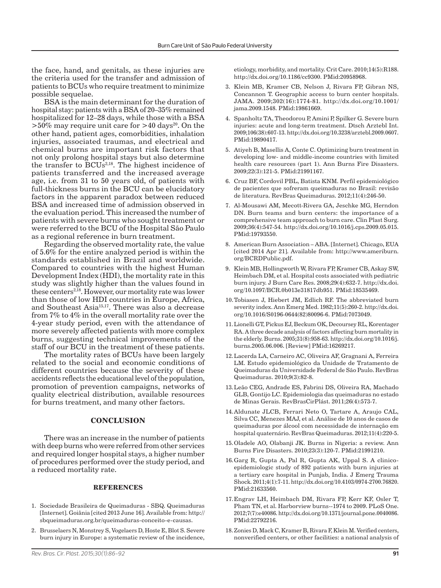the face, hand, and genitals, as these injuries are the criteria used for the transfer and admission of patients to BCUs who require treatment to minimize possible sequelae.

BSA is the main determinant for the duration of hospital stay: patients with a BSA of 20–35% remained hospitalized for 12–28 days, while those with a BSA  $>50\%$  may require unit care for  $>40$  days<sup>20</sup>. On the other hand, patient ages, comorbidities, inhalation injuries, associated traumas, and electrical and chemical burns are important risk factors that not only prolong hospital stays but also determine the transfer to BCUs<sup>2,18</sup>. The highest incidence of patients transferred and the increased average age, i.e. from 31 to 50 years old, of patients with full-thickness burns in the BCU can be elucidatory factors in the apparent paradox between reduced BSA and increased time of admission observed in the evaluation period. This increased the number of patients with severe burns who sought treatment or were referred to the BCU of the Hospital São Paulo as a regional reference in burn treatment.

Regarding the observed mortality rate, the value of 5.6% for the entire analyzed period is within the standards established in Brazil and worldwide. Compared to countries with the highest Human Development Index (HDI), the mortality rate in this study was slightly higher than the values found in these centers<sup>2,18</sup>. However, our mortality rate was lower than those of low HDI countries in Europe, Africa, and Southeast Asia<sup>15,17</sup>. There was also a decrease from 7% to 4% in the overall mortality rate over the 4-year study period, even with the attendance of more severely affected patients with more complex burns, suggesting technical improvements of the staff of our BCU in the treatment of these patients.

The mortality rates of BCUs have been largely related to the social and economic conditions of different countries because the severity of these accidents reflects the educational level of the population, promotion of prevention campaigns, networks of quality electrical distribution, available resources for burns treatment, and many other factors.

# **CONCLUSION**

There was an increase in the number of patients with deep burns who were referred from other services and required longer hospital stays, a higher number of procedures performed over the study period, and a reduced mortality rate.

### **REFERENCES**

- 1. Sociedade Brasileira de Queimaduras SBQ. Queimaduras [Internet]. Goiânia [cited 2013 June 16]. Available from: http:// sbqueimaduras.org.br/queimaduras-conceito-e-causas.
- 2. Brusselaers N, Monstrey S, Vogelaers D, Hoste E, Blot S. Severe burn injury in Europe: a systematic review of the incidence,

etiology, morbidity, and mortality. Crit Care. 2010;14(5):R188. http://dx.doi.org/10.1186/cc9300. PMid:20958968.

- 3. Klein MB, Kramer CB, Nelson J, Rivara FP, Gibran NS, Concannon T. Geographic access to burn center hospitals. JAMA. 2009;302(16):1774-81. http://dx.doi.org/10.1001/ jama.2009.1548. PMid:19861669.
- 4. Spanholtz TA, Theodorou P, Amini P, Spilker G. Severe burn injuries: acute and long-term treatment. Dtsch Arztebl Int. 2009;106(38):607-13. http://dx.doi.org/10.3238/arztebl.2009.0607. PMid:19890417.
- 5. Atiyeh B, Masellis A, Conte C. Optimizing burn treatment in developing low- and middle-income countries with limited health care resources (part 1). Ann Burns Fire Disasters. 2009;22(3):121-5. PMid:21991167.
- 6. Cruz BF, Cordovil PBL, Batista KNM. Perfil epidemiológico de pacientes que sofreram queimaduras no Brasil: revisão de literatura. RevBras Queimaduras. 2012;11(4):246-50.
- 7. Al-Mousawi AM, Mecott-Rivera GA, Jeschke MG, Herndon DN. Burn teams and burn centers: the importance of a comprehensive team approach to burn care. Clin Plast Surg. 2009;36(4):547-54. http://dx.doi.org/10.1016/j.cps.2009.05.015. PMid:19793550.
- 8. American Burn Association ABA. [Internet]. Chicago, EUA [cited 2014 Apr 21]. Available from: http://www.ameriburn. org/BCRDPublic.pdf.
- 9. Klein MB, Hollingworth W, Rivara FP, Kramer CB, Askay SW, Heimbach DM, et al. Hospital costs associated with pediatric burn injury. J Burn Care Res. 2008;29(4):632-7. http://dx.doi. org/10.1097/BCR.0b013e31817db951. PMid:18535469.
- 10.Tobiasen J, Hiebert JM, Edlich RF. The abbreviated burn severity index. Ann Emerg Med. 1982;11(5):260-2. http://dx.doi. org/10.1016/S0196-0644(82)80096-6. PMid:7073049.
- 11.Lionelli GT, Pickus EJ, Beckum OK, Decoursey RL, Korentager RA. A three decade analysis of factors affecting burn mortality in the elderly. Burns. 2005;31(8):958-63. http://dx.doi.org/10.1016/j. burns.2005.06.006. [Review] PMid:16269217.
- 12.Lacerda LA, Carneiro AC, Oliveira AF, Gragnani A, Ferreira LM. Estudo epidemiológico da Unidade de Tratamento de Queimaduras da Universidade Federal de São Paulo. RevBras Queimaduras. 2010;9(3):82-8.
- 13.Leão CEG, Andrade ES, Fabrini DS, Oliveira RA, Machado GLB, Gontijo LC. Epidemiologia das queimaduras no estado de Minas Gerais. RevBrasCirPlást. 2011;26(4):573-7.
- 14.Aldunate JLCB, Ferrari Neto O, Tartare A, Araujo CAL, Silva CC, Menezes MAJ, et al. Análise de 10 anos de casos de queimaduras por álcool com necessidade de internação em hospital quaternário. RevBras Queimaduras. 2012;11(4):220-5.
- 15.Oladele AO, Olabanji JK. Burns in Nigeria: a review. Ann Burns Fire Disasters. 2010;23(3):120-7. PMid:21991210.
- 16.Garg R, Gupta A, Pal R, Gupta AK, Uppal S. A clinicoepidemiologic study of 892 patients with burn injuries at a tertiary care hospital in Punjab, India. J Emerg Trauma Shock. 2011;4(1):7-11. http://dx.doi.org/10.4103/0974-2700.76820. PMid:21633560.
- 17.Engrav LH, Heimbach DM, Rivara FP, Kerr KF, Osler T, Pham TN, et al. Harborview burns--1974 to 2009. PLoS One. 2012;7(7):e40086. http://dx.doi.org/10.1371/journal.pone.0040086. PMid:22792216.
- 18.Zonies D, Mack C, Kramer B, Rivara F, Klein M. Verified centers, nonverified centers, or other facilities: a national analysis of